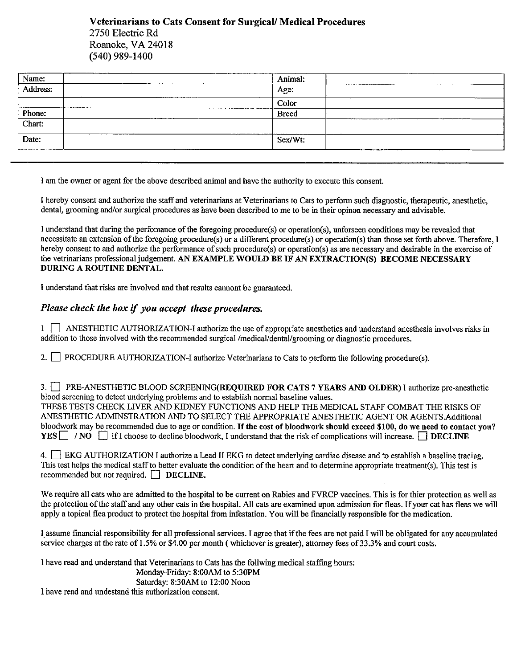Veterinarians to Cats Consent for Surgical/Medical Procedures 2750 Electric Rd Roanoke, VA 24018 (540) 989-1400

| Animal:      |                 |
|--------------|-----------------|
| Age:         |                 |
| Color        |                 |
| <b>Breed</b> |                 |
|              |                 |
| Sex/Wt:      |                 |
|              | _______________ |

I am the owner or agent for the above described animal and have the authority to execute this consent.

hereby consent and authorize the staff and veterinarians at Veterinarians to Cats to perform such diagnostic, therapeutic, anesthetic, dental, grooming and/or surgical procedures as have been described to me to be in their opinon necessary and advisable.

I understand that during the perfomance ofthe foregoing procedure(s) or operation(s), unforseen conditions may be revealed that necessitate an extension ofthe foregoing procedure(s) or a different procedure(s) or operation(s) than those set forth above. Therefore, I hereby consent to and authorize the performance of such procedure(s) or operation(s) as are necessary and desirable in the exercise of the vetrinarians professional judgement. AN EXAMPLE WOULD BE IF AN EXTRACTION(S) BECOME NECESSARY DURING A ROUTINE DENTAL.

I understand that risks are involved and that results cannont be guaranteed.

## Please check the box if you accept these procedures.

1 ANESTHETIC AUTHORIZATION-I authorize the use of appropriate anesthetics and understand anesthesia involves risks in addition to those involved with the recommended surgical /medical/dental/grooming or diagnostic procedures.

2. **FROCEDURE AUTHORIZATION-I authorize Veterinarians to Cats to perform the following procedure(s).** 

3. PRE-ANESTHETIC BLOOD SCREENING(REQUIRED FOR CATS 7 YEARS AND OLDER) I authorize pre-anesthetic blood screening to detect underlying problems and to establish normal baseline values. THESE TESTS CHECK LIVER AND KIDNEY FUNCTIONS AND HELP THE MEDICAL STAFF COMBAT THE RISKS OF ANESTHETIC ADMINSTRATION AND TO SELECT THE APPROPRIATE ANESTHETIC AGENT OR AGENTS.Additional bloodwork may be recommended due to age or condition. If the cost of bloodwork should exceed \$100, do we need to contact you? YES  $\Box$  /NO  $\Box$  If I choose to decline bloodwork, I understand that the risk of complications will increase.  $\Box$  DECLINE

4. EKG AUTHORIZATION I authorize a Lead II EKG to detect underlying cardiac disease and to establish a baseline tracing. This test helps the medical staff to better evaluate the condition of the heart and to determine appropriate treatment(s). This test is recommended but not required.  $\Box$  DECLINE.

We require all cats who are admitted to the hospital to be current on Rabies and FVRCP vaccines. This is for thier protection as well as the protection ofthe staff and any other cats in the hospital. All cats are examined upon admission for fleas. If your cat has fleas we will apply <sup>a</sup> topical flea product to protect the hospital from infestation. You will be fmancially responsible for the medication.

Iassume financial responsibility for all professional services. I agree that ifthe fees are not paid I will be obligated for any accumulated service charges at the rate of 1.5% or \$4.00 per month (whichever is greater), attorney fees of 33.3% and court costs.

I have read and understand that Veterinarians to Cats has the follwing medical staffmg hours:

Monday-Friday: 8:00AM to 5:30PM Saturday: 8:30AM to 12:00 Noon

I have read and undestand this authorization consent.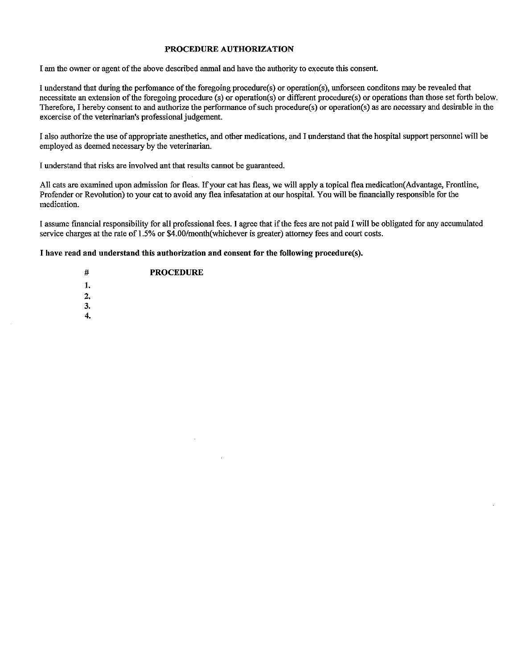### PROCEDURE AUTHORIZATION

I am the owner or agent of the above described anmal and have the authority to execute this consent.

I understand that during the perfomance ofthe foregoing procedure(s) or operation(s), unforseen conditons may be revealed that necessitate an extension of the foregoing procedure (s) or operation(s) or different procedure(s) or operations than those set forth below. Therefore, I hereby consent to and authorize the perfonnance of such procedure(s) or operation(s) as are necessary and desirable in the excercise of the veterinarian's professional judgement.

I also authorize the use of appropriate anesthetics, and other medications, and I understand that the hospital support personnel will be employed as deemed necessary by the veterinarian.

I understand that risks are involved ant that results cannot be guaranteed.

All cats are examined upon admission for fleas. If your cat has fleas, we will apply <sup>a</sup> topical flea medication(Advantage, Frontline, Profender or Revolution) to your cat to avoid any flea infesatation at our hospital. You will be financially responsible for the medication.

<sup>I</sup> assume financial responsibility for all professional fees. <sup>I</sup> agree that ifthe fees are not paid <sup>I</sup> will be obligated for any accumulated service charges at the rate of 1.5% or \$4.00/month(whichever is greater) attorney fees and court costs.

I have read and understand this authorization and consent for the following procedure(s).

- 4 PROCEDURE
- :1.
- 2.
- 3.
- 4.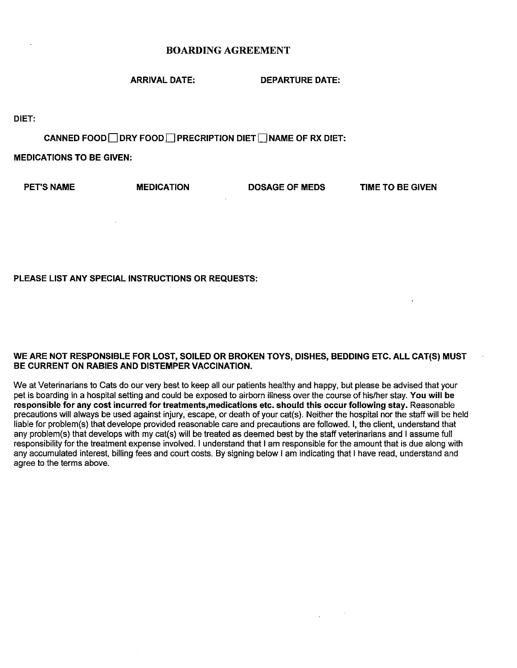# BOARDING AGREEMENT

ARRIVAL DATE: DEPARTURE DATE:

DIET:

CANNED FOOD  $\Box$  DRY FOOD  $\Box$  PRECRIPTION DIET  $\Box$  NAME OF RX DIET:

MEDICATIONS TO BE GIVEN:

PET'S NAME MEDICATION DOSAGE OF MEDS TIME TO BE GIVEN

# PLEASE LIST ANY SPECIAL INSTRUCTIONS OR REQUESTS:

### WE ARE NOT RESPONSIBLE FOR LOST, SOILED OR BROKEN TOYS, DISHES, BEDDING ETC. ALL CAT(S) MUST BE CURRENT ON RABIES AND DISTEMPER VACCINATION.

We at Veterinarians to Cats do our very best to keep all our patients healthy and happy, but please be advised that your pet is boarding in a hospital setting and could be exposed to airborn illness over the course of his/her stay. You will be responsible for any cost incurred for treatments,medications etc. should this occur following stay. Reasonable precautions will always be used against injury, escape, or death of your cat(s). Neither the hospital nor the staff will be held liable for problem(s) that develope provided reasonable care and precautions are followed. I, the client, understand that any problem(s) that develops with my cat(s) will be treated as deemed best by the staff veterinarians and <sup>I</sup> assume full responsibility for the treatment expense involved. <sup>I</sup> understand that <sup>I</sup> am responsible for the amount that is due along with any accumulated interest, billing fees and court costs. By signing below <sup>I</sup> am indicating that <sup>I</sup> have read, understand and agree to the terms above.